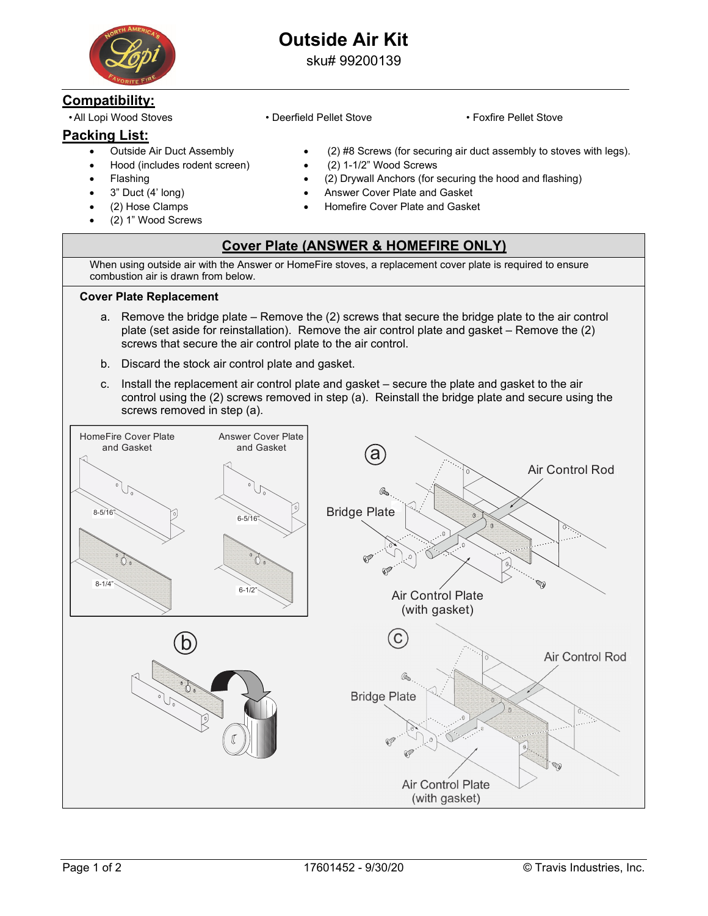

# **Outside Air Kit**

sku# 99200139

## **Compatibility:**

## **Packing List:**

- Outside Air Duct Assembly
- Hood (includes rodent screen)
- Flashing
- 3" Duct (4' long)
- (2) Hose Clamps
- (2) 1" Wood Screws
- All Lopi Wood Stoves Deerfield Pellet Stove Foxfire Pellet Stove
	-
	- (2) #8 Screws (for securing air duct assembly to stoves with legs).
	- (2) 1-1/2" Wood Screws
	- (2) Drywall Anchors (for securing the hood and flashing)
	- Answer Cover Plate and Gasket
	- Homefire Cover Plate and Gasket

#### **Cover Plate (ANSWER & HOMEFIRE ONLY)**

When using outside air with the Answer or HomeFire stoves, a replacement cover plate is required to ensure combustion air is drawn from below.

#### **Cover Plate Replacement**

- a. Remove the bridge plate Remove the (2) screws that secure the bridge plate to the air control plate (set aside for reinstallation). Remove the air control plate and gasket – Remove the (2) screws that secure the air control plate to the air control.
- b. Discard the stock air control plate and gasket.
- c. Install the replacement air control plate and gasket secure the plate and gasket to the air control using the (2) screws removed in step (a). Reinstall the bridge plate and secure using the screws removed in step (a).